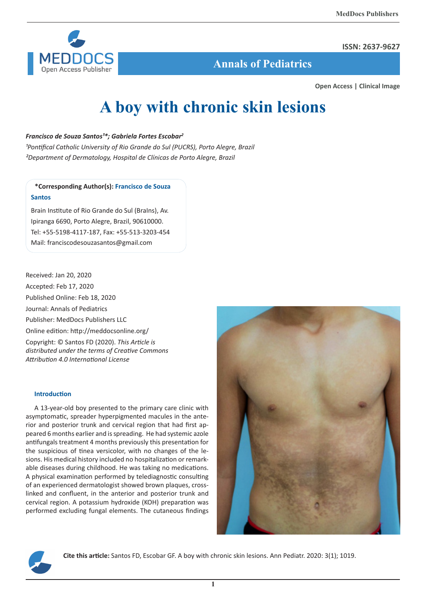

### **ISSN: 2637-9627**

 **Annals of Pediatrics**

**Open Access | Clinical Image**

# **A boy with chronic skin lesions**

## *Francisco de Souza Santos<sup>1\*</sup>; Gabriela Fortes Escobar<sup>2</sup>*

<sup>1</sup>Pontifical Catholic University of Rio Grande do Sul (PUCRS), Porto Alegre, Brazil *²Department of Dermatology, Hospital de Clínicas de Porto Alegre, Brazil*

# **\*Corresponding Author(s): Francisco de Souza Santos**

Brain Institute of Rio Grande do Sul (BraIns), Av. Ipiranga 6690, Porto Alegre, Brazil, 90610000. Tel: +55-5198-4117-187, Fax: +55-513-3203-454 Mail: franciscodesouzasantos@gmail.com

Received: Jan 20, 2020 Accepted: Feb 17, 2020 Published Online: Feb 18, 2020 Journal: Annals of Pediatrics Publisher: MedDocs Publishers LLC Online edition: http://meddocsonline.org/ Copyright: © Santos FD (2020). *This Article is distributed under the terms of Creative Commons Attribution 4.0 International License*

## **Introduction**

A 13-year-old boy presented to the primary care clinic with asymptomatic, spreader hyperpigmented macules in the anterior and posterior trunk and cervical region that had first appeared 6 months earlier and is spreading. He had systemic azole antifungals treatment 4 months previously this presentation for the suspicious of tinea versicolor, with no changes of the lesions. His medical history included no hospitalization or remarkable diseases during childhood. He was taking no medications. A physical examination performed by telediagnostic consulting of an experienced dermatologist showed brown plaques, crosslinked and confluent, in the anterior and posterior trunk and cervical region. A potassium hydroxide (KOH) preparation was performed excluding fungal elements. The cutaneous findings





**Cite this article:** Santos FD, Escobar GF. A boy with chronic skin lesions. Ann Pediatr. 2020: 3(1); 1019.

**1**